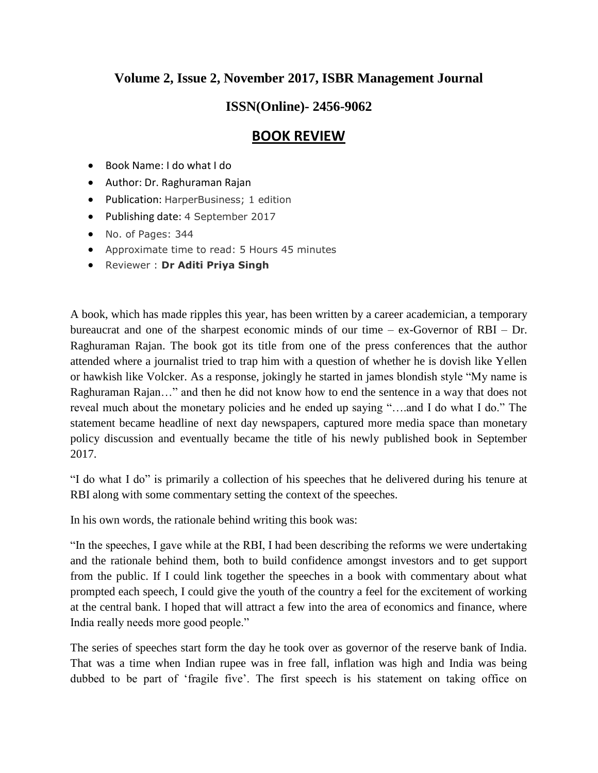## **Volume 2, Issue 2, November 2017, ISBR Management Journal**

## **ISSN(Online)- 2456-9062**

## **BOOK REVIEW**

- Book Name: I do what I do
- Author: Dr. Raghuraman Rajan
- Publication: HarperBusiness; 1 edition
- Publishing date: 4 September 2017
- No. of Pages: 344
- Approximate time to read: 5 Hours 45 minutes
- Reviewer : **Dr Aditi Priya Singh**

A book, which has made ripples this year, has been written by a career academician, a temporary bureaucrat and one of the sharpest economic minds of our time – ex-Governor of RBI – Dr. Raghuraman Rajan. The book got its title from one of the press conferences that the author attended where a journalist tried to trap him with a question of whether he is dovish like Yellen or hawkish like Volcker. As a response, jokingly he started in james blondish style "My name is Raghuraman Rajan…" and then he did not know how to end the sentence in a way that does not reveal much about the monetary policies and he ended up saying "….and I do what I do." The statement became headline of next day newspapers, captured more media space than monetary policy discussion and eventually became the title of his newly published book in September 2017.

"I do what I do" is primarily a collection of his speeches that he delivered during his tenure at RBI along with some commentary setting the context of the speeches.

In his own words, the rationale behind writing this book was:

"In the speeches, I gave while at the RBI, I had been describing the reforms we were undertaking and the rationale behind them, both to build confidence amongst investors and to get support from the public. If I could link together the speeches in a book with commentary about what prompted each speech, I could give the youth of the country a feel for the excitement of working at the central bank. I hoped that will attract a few into the area of economics and finance, where India really needs more good people."

The series of speeches start form the day he took over as governor of the reserve bank of India. That was a time when Indian rupee was in free fall, inflation was high and India was being dubbed to be part of 'fragile five'. The first speech is his statement on taking office on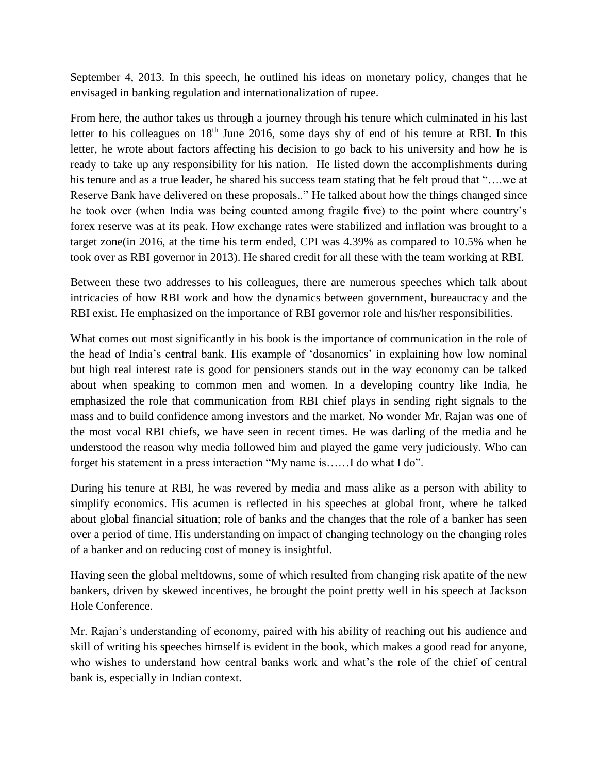September 4, 2013. In this speech, he outlined his ideas on monetary policy, changes that he envisaged in banking regulation and internationalization of rupee.

From here, the author takes us through a journey through his tenure which culminated in his last letter to his colleagues on 18<sup>th</sup> June 2016, some days shy of end of his tenure at RBI. In this letter, he wrote about factors affecting his decision to go back to his university and how he is ready to take up any responsibility for his nation. He listed down the accomplishments during his tenure and as a true leader, he shared his success team stating that he felt proud that "... we at Reserve Bank have delivered on these proposals.." He talked about how the things changed since he took over (when India was being counted among fragile five) to the point where country's forex reserve was at its peak. How exchange rates were stabilized and inflation was brought to a target zone(in 2016, at the time his term ended, CPI was 4.39% as compared to 10.5% when he took over as RBI governor in 2013). He shared credit for all these with the team working at RBI.

Between these two addresses to his colleagues, there are numerous speeches which talk about intricacies of how RBI work and how the dynamics between government, bureaucracy and the RBI exist. He emphasized on the importance of RBI governor role and his/her responsibilities.

What comes out most significantly in his book is the importance of communication in the role of the head of India's central bank. His example of 'dosanomics' in explaining how low nominal but high real interest rate is good for pensioners stands out in the way economy can be talked about when speaking to common men and women. In a developing country like India, he emphasized the role that communication from RBI chief plays in sending right signals to the mass and to build confidence among investors and the market. No wonder Mr. Rajan was one of the most vocal RBI chiefs, we have seen in recent times. He was darling of the media and he understood the reason why media followed him and played the game very judiciously. Who can forget his statement in a press interaction "My name is……I do what I do".

During his tenure at RBI, he was revered by media and mass alike as a person with ability to simplify economics. His acumen is reflected in his speeches at global front, where he talked about global financial situation; role of banks and the changes that the role of a banker has seen over a period of time. His understanding on impact of changing technology on the changing roles of a banker and on reducing cost of money is insightful.

Having seen the global meltdowns, some of which resulted from changing risk apatite of the new bankers, driven by skewed incentives, he brought the point pretty well in his speech at Jackson Hole Conference.

Mr. Rajan's understanding of economy, paired with his ability of reaching out his audience and skill of writing his speeches himself is evident in the book, which makes a good read for anyone, who wishes to understand how central banks work and what's the role of the chief of central bank is, especially in Indian context.